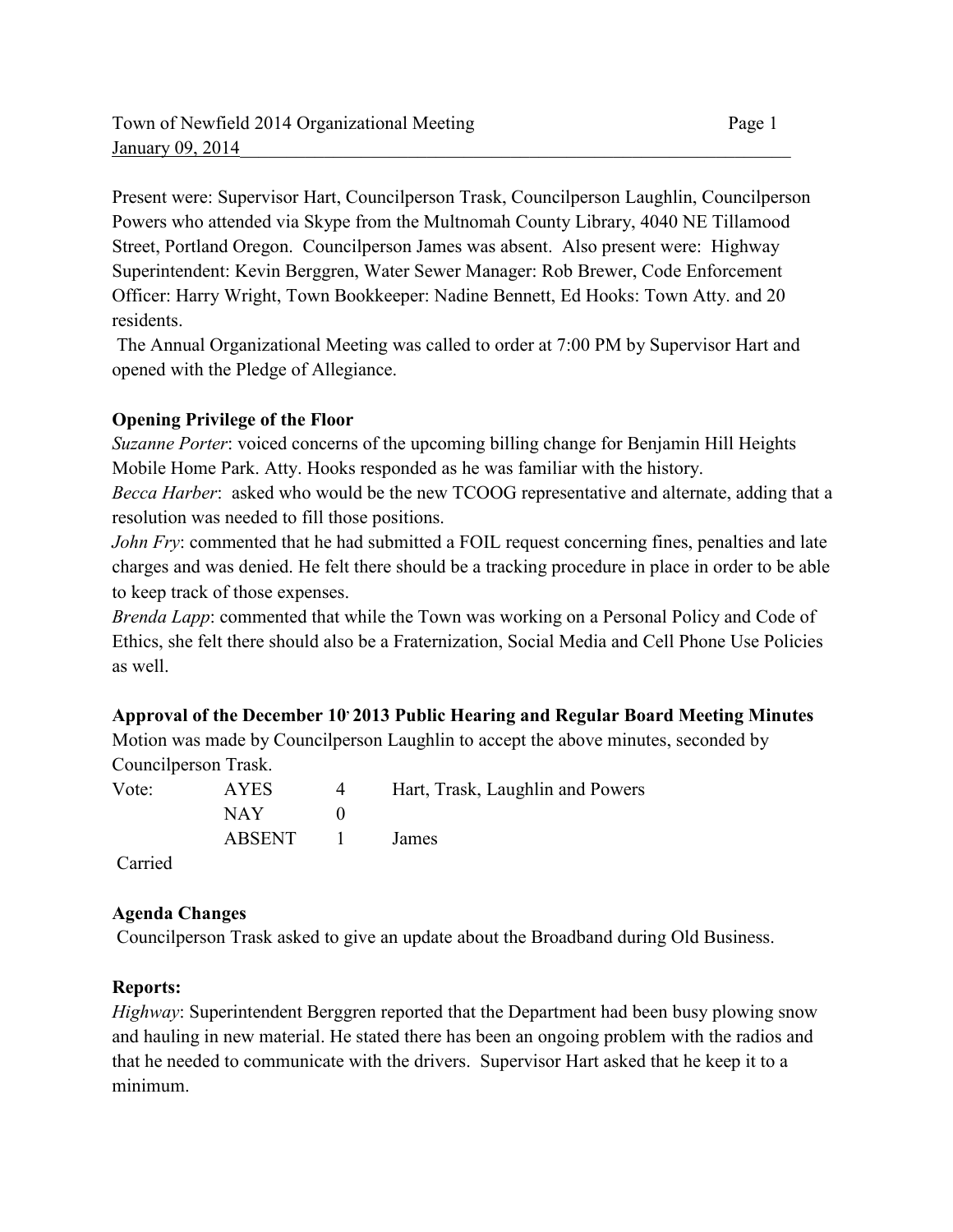Present were: Supervisor Hart, Councilperson Trask, Councilperson Laughlin, Councilperson Powers who attended via Skype from the Multnomah County Library, 4040 NE Tillamood Street, Portland Oregon. Councilperson James was absent. Also present were: Highway Superintendent: Kevin Berggren, Water Sewer Manager: Rob Brewer, Code Enforcement Officer: Harry Wright, Town Bookkeeper: Nadine Bennett, Ed Hooks: Town Atty. and 20 residents.

 The Annual Organizational Meeting was called to order at 7:00 PM by Supervisor Hart and opened with the Pledge of Allegiance.

# **Opening Privilege of the Floor**

*Suzanne Porter*: voiced concerns of the upcoming billing change for Benjamin Hill Heights Mobile Home Park. Atty. Hooks responded as he was familiar with the history.

*Becca Harber*: asked who would be the new TCOOG representative and alternate, adding that a resolution was needed to fill those positions.

*John Fry*: commented that he had submitted a FOIL request concerning fines, penalties and late charges and was denied. He felt there should be a tracking procedure in place in order to be able to keep track of those expenses.

*Brenda Lapp*: commented that while the Town was working on a Personal Policy and Code of Ethics, she felt there should also be a Fraternization, Social Media and Cell Phone Use Policies as well.

## **Approval of the December 10, 2013 Public Hearing and Regular Board Meeting Minutes**

Motion was made by Councilperson Laughlin to accept the above minutes, seconded by Councilperson Trask.

| Vote:                                   | <b>AYES</b> | $\overline{4}$ | Hart, Trask, Laughlin and Powers |
|-----------------------------------------|-------------|----------------|----------------------------------|
|                                         | NAY -       |                |                                  |
|                                         | ABSENT      | and The Co     | James                            |
| $\bigcap$ $\bigcup$ $\bigcup$ $\bigcup$ |             |                |                                  |

Carried

# **Agenda Changes**

Councilperson Trask asked to give an update about the Broadband during Old Business.

## **Reports:**

*Highway*: Superintendent Berggren reported that the Department had been busy plowing snow and hauling in new material. He stated there has been an ongoing problem with the radios and that he needed to communicate with the drivers. Supervisor Hart asked that he keep it to a minimum.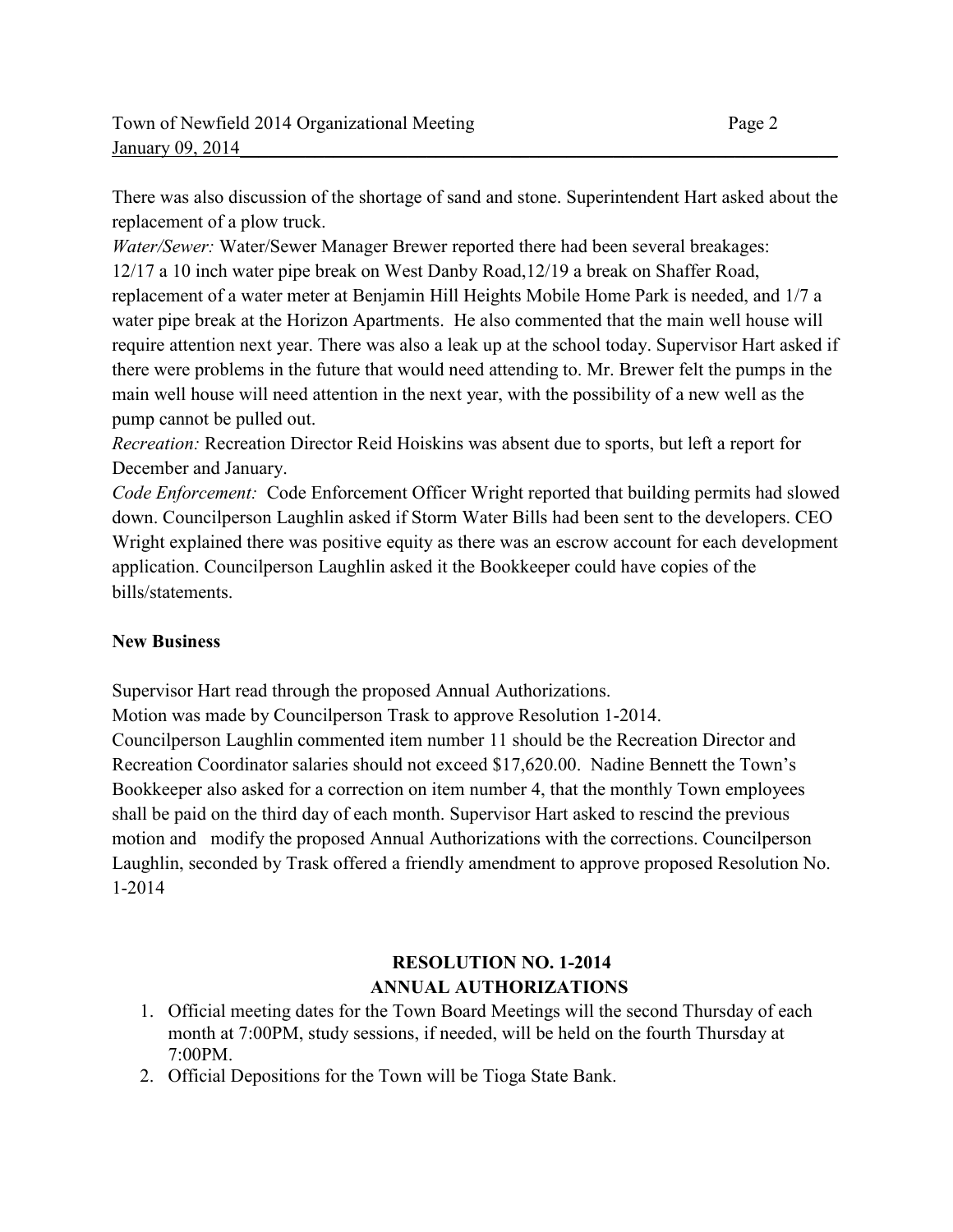There was also discussion of the shortage of sand and stone. Superintendent Hart asked about the replacement of a plow truck.

*Water/Sewer:* Water/Sewer Manager Brewer reported there had been several breakages: 12/17 a 10 inch water pipe break on West Danby Road,12/19 a break on Shaffer Road, replacement of a water meter at Benjamin Hill Heights Mobile Home Park is needed, and 1/7 a water pipe break at the Horizon Apartments. He also commented that the main well house will require attention next year. There was also a leak up at the school today. Supervisor Hart asked if there were problems in the future that would need attending to. Mr. Brewer felt the pumps in the main well house will need attention in the next year, with the possibility of a new well as the pump cannot be pulled out.

*Recreation:* Recreation Director Reid Hoiskins was absent due to sports, but left a report for December and January.

*Code Enforcement:* Code Enforcement Officer Wright reported that building permits had slowed down. Councilperson Laughlin asked if Storm Water Bills had been sent to the developers. CEO Wright explained there was positive equity as there was an escrow account for each development application. Councilperson Laughlin asked it the Bookkeeper could have copies of the bills/statements.

# **New Business**

Supervisor Hart read through the proposed Annual Authorizations.

Motion was made by Councilperson Trask to approve Resolution 1-2014.

Councilperson Laughlin commented item number 11 should be the Recreation Director and Recreation Coordinator salaries should not exceed \$17,620.00. Nadine Bennett the Town's Bookkeeper also asked for a correction on item number 4, that the monthly Town employees shall be paid on the third day of each month. Supervisor Hart asked to rescind the previous motion and modify the proposed Annual Authorizations with the corrections. Councilperson Laughlin, seconded by Trask offered a friendly amendment to approve proposed Resolution No. 1-2014

# **RESOLUTION NO. 1-2014 ANNUAL AUTHORIZATIONS**

- 1. Official meeting dates for the Town Board Meetings will the second Thursday of each month at 7:00PM, study sessions, if needed, will be held on the fourth Thursday at 7:00PM.
- 2. Official Depositions for the Town will be Tioga State Bank.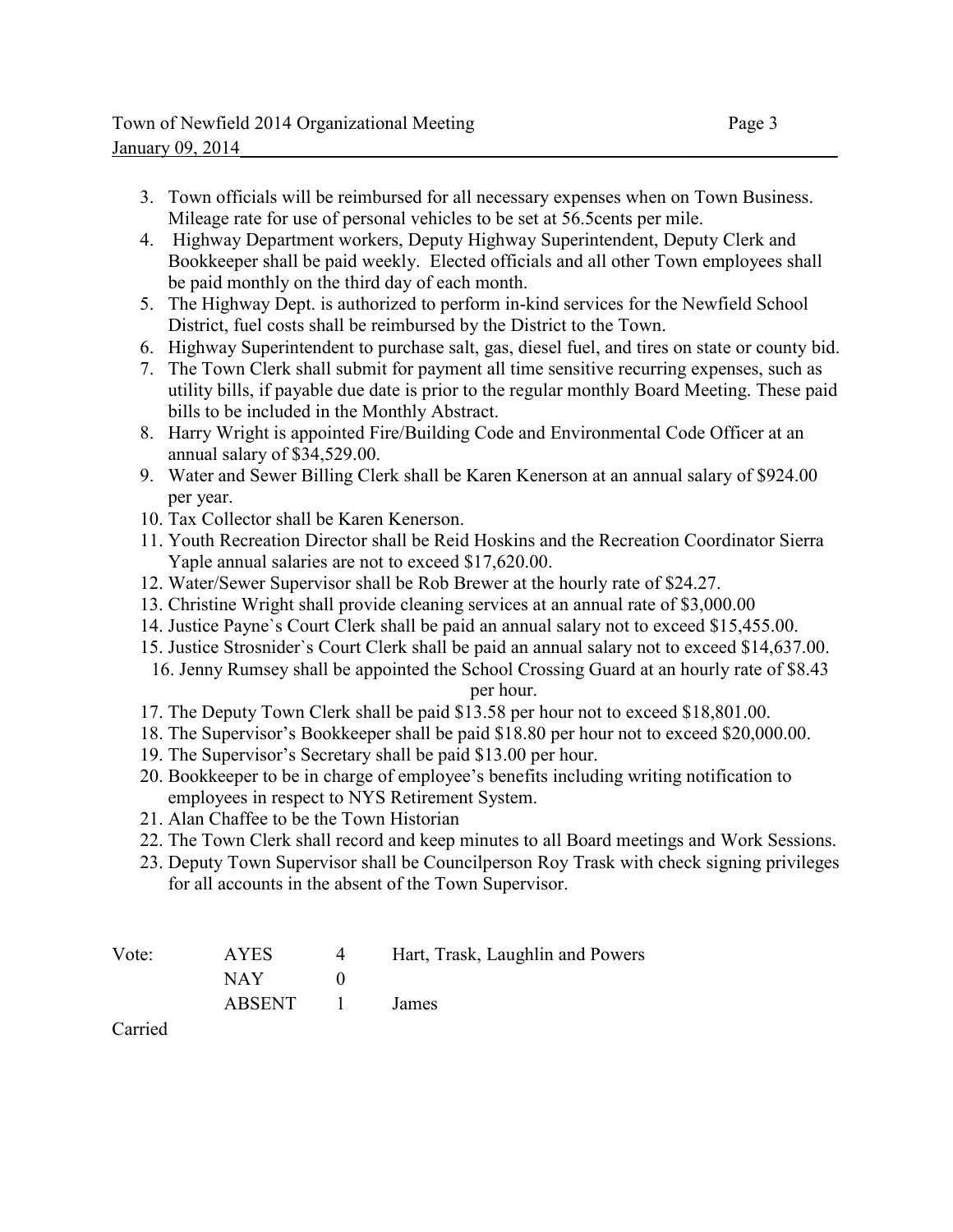- 3. Town officials will be reimbursed for all necessary expenses when on Town Business. Mileage rate for use of personal vehicles to be set at 56.5cents per mile.
- 4. Highway Department workers, Deputy Highway Superintendent, Deputy Clerk and Bookkeeper shall be paid weekly. Elected officials and all other Town employees shall be paid monthly on the third day of each month.
- 5. The Highway Dept. is authorized to perform in-kind services for the Newfield School District, fuel costs shall be reimbursed by the District to the Town.
- 6. Highway Superintendent to purchase salt, gas, diesel fuel, and tires on state or county bid.
- 7. The Town Clerk shall submit for payment all time sensitive recurring expenses, such as utility bills, if payable due date is prior to the regular monthly Board Meeting. These paid bills to be included in the Monthly Abstract.
- 8. Harry Wright is appointed Fire/Building Code and Environmental Code Officer at an annual salary of \$34,529.00.
- 9. Water and Sewer Billing Clerk shall be Karen Kenerson at an annual salary of \$924.00 per year.
- 10. Tax Collector shall be Karen Kenerson.
- 11. Youth Recreation Director shall be Reid Hoskins and the Recreation Coordinator Sierra Yaple annual salaries are not to exceed \$17,620.00.
- 12. Water/Sewer Supervisor shall be Rob Brewer at the hourly rate of \$24.27.
- 13. Christine Wright shall provide cleaning services at an annual rate of \$3,000.00
- 14. Justice Payne`s Court Clerk shall be paid an annual salary not to exceed \$15,455.00.
- 15. Justice Strosnider`s Court Clerk shall be paid an annual salary not to exceed \$14,637.00. 16. Jenny Rumsey shall be appointed the School Crossing Guard at an hourly rate of \$8.43

per hour.

- 17. The Deputy Town Clerk shall be paid \$13.58 per hour not to exceed \$18,801.00.
- 18. The Supervisor's Bookkeeper shall be paid \$18.80 per hour not to exceed \$20,000.00.
- 19. The Supervisor's Secretary shall be paid \$13.00 per hour.
- 20. Bookkeeper to be in charge of employee's benefits including writing notification to employees in respect to NYS Retirement System.
- 21. Alan Chaffee to be the Town Historian
- 22. The Town Clerk shall record and keep minutes to all Board meetings and Work Sessions.
- 23. Deputy Town Supervisor shall be Councilperson Roy Trask with check signing privileges for all accounts in the absent of the Town Supervisor.

| Vote: | <b>AYES</b> | $\overline{4}$  | Hart, Trask, Laughlin and Powers |
|-------|-------------|-----------------|----------------------------------|
|       | NAY -       |                 |                                  |
|       | ABSENT      | $\sim$ 1 $\sim$ | James                            |

Carried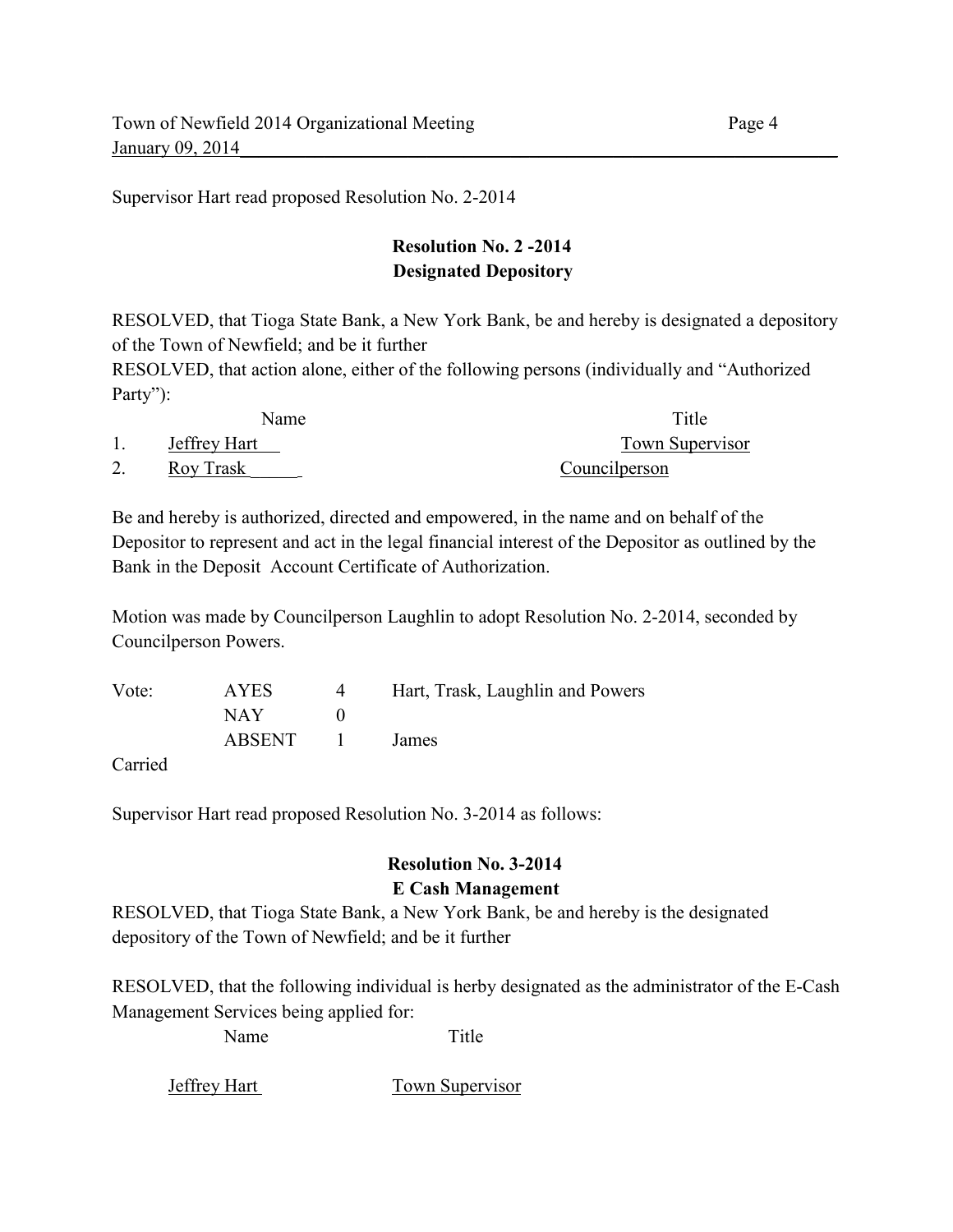Supervisor Hart read proposed Resolution No. 2-2014

# **Resolution No. 2 -2014 Designated Depository**

RESOLVED, that Tioga State Bank, a New York Bank, be and hereby is designated a depository of the Town of Newfield; and be it further

RESOLVED, that action alone, either of the following persons (individually and "Authorized Party"):

| Name         | Title           |
|--------------|-----------------|
| Jeffrey Hart | Town Supervisor |
| Roy Trask    | Councilperson   |

Be and hereby is authorized, directed and empowered, in the name and on behalf of the Depositor to represent and act in the legal financial interest of the Depositor as outlined by the Bank in the Deposit Account Certificate of Authorization.

Motion was made by Councilperson Laughlin to adopt Resolution No. 2-2014, seconded by Councilperson Powers.

Vote: AYES 4 Hart, Trask, Laughlin and Powers  $NAY$  0 ABSENT 1 James

Carried

Supervisor Hart read proposed Resolution No. 3-2014 as follows:

# **Resolution No. 3-2014 E Cash Management**

RESOLVED, that Tioga State Bank, a New York Bank, be and hereby is the designated depository of the Town of Newfield; and be it further

RESOLVED, that the following individual is herby designated as the administrator of the E-Cash Management Services being applied for:

Name Title

Jeffrey Hart Town Supervisor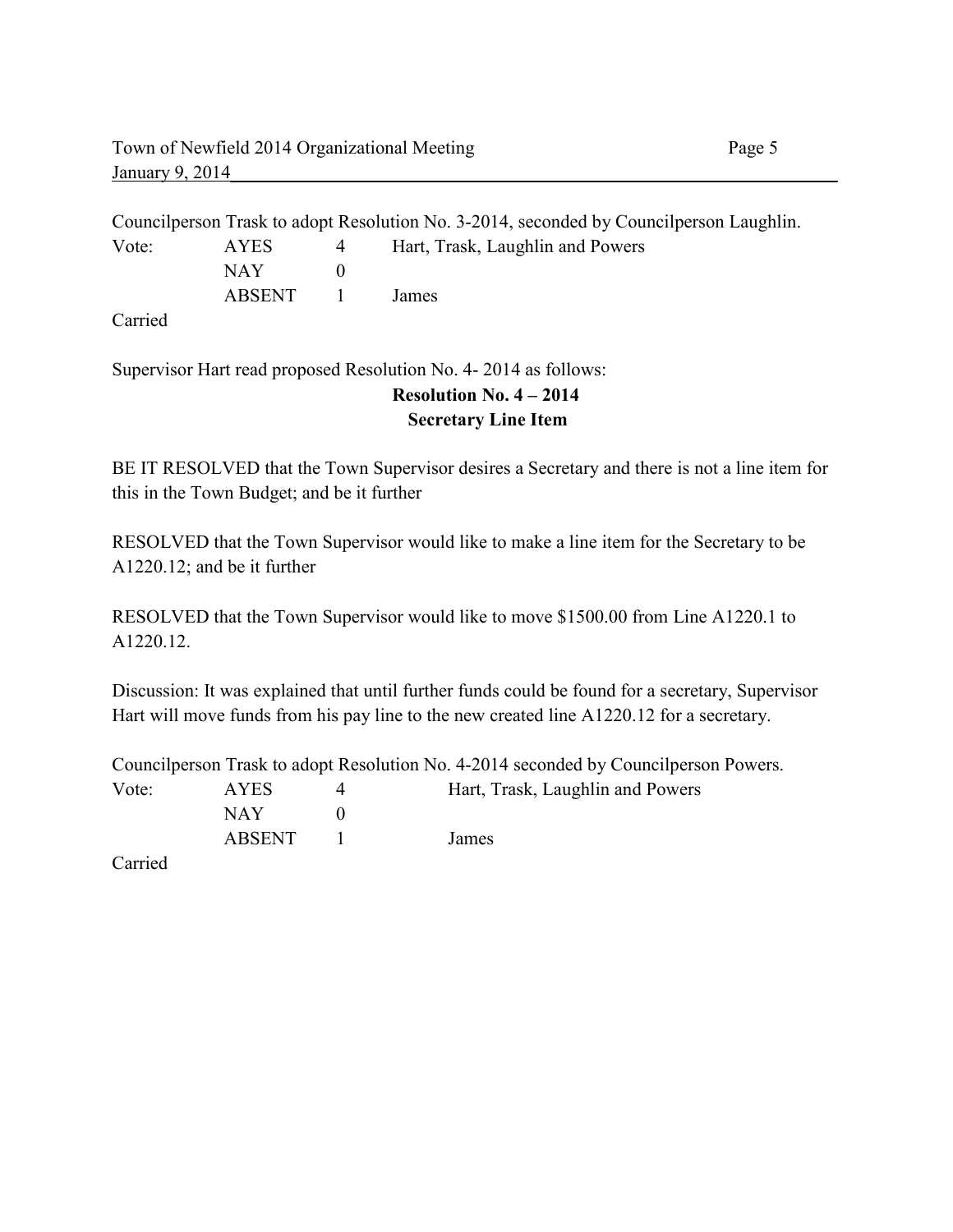Councilperson Trask to adopt Resolution No. 3-2014, seconded by Councilperson Laughlin. Vote: AYES 4 Hart, Trask, Laughlin and Powers NAY 0 ABSENT 1 James

Carried

Supervisor Hart read proposed Resolution No. 4- 2014 as follows:

# **Resolution No. 4 – 2014 Secretary Line Item**

BE IT RESOLVED that the Town Supervisor desires a Secretary and there is not a line item for this in the Town Budget; and be it further

RESOLVED that the Town Supervisor would like to make a line item for the Secretary to be A1220.12; and be it further

RESOLVED that the Town Supervisor would like to move \$1500.00 from Line A1220.1 to A1220.12.

Discussion: It was explained that until further funds could be found for a secretary, Supervisor Hart will move funds from his pay line to the new created line A1220.12 for a secretary.

Councilperson Trask to adopt Resolution No. 4-2014 seconded by Councilperson Powers. Vote: AYES 4 Hart, Trask, Laughlin and Powers

NAY 0 ABSENT 1 James

Carried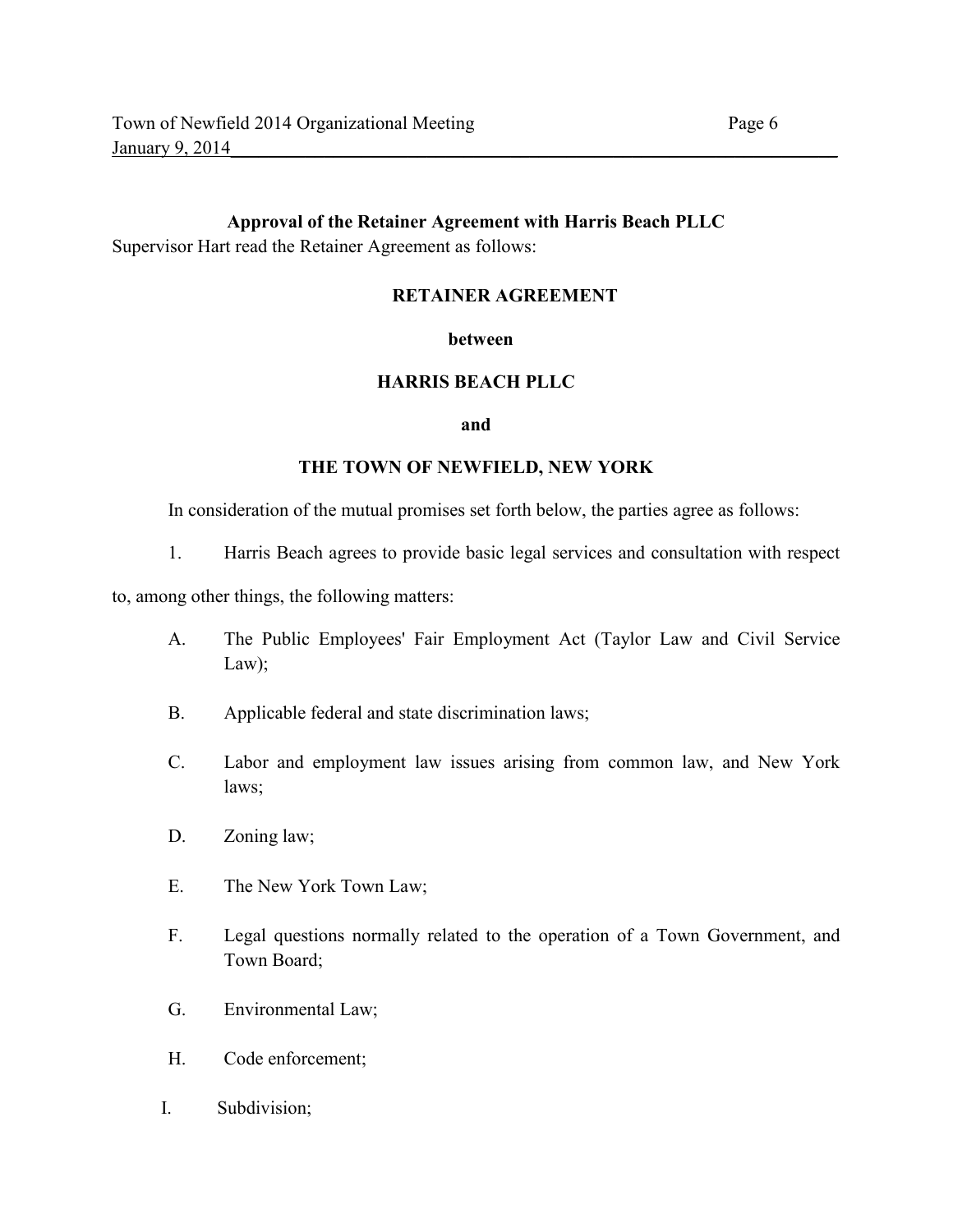## **Approval of the Retainer Agreement with Harris Beach PLLC**  Supervisor Hart read the Retainer Agreement as follows:

## **RETAINER AGREEMENT**

#### **between**

## **HARRIS BEACH PLLC**

#### **and**

#### **THE TOWN OF NEWFIELD, NEW YORK**

In consideration of the mutual promises set forth below, the parties agree as follows:

1. Harris Beach agrees to provide basic legal services and consultation with respect

to, among other things, the following matters:

- A. The Public Employees' Fair Employment Act (Taylor Law and Civil Service Law);
- B. Applicable federal and state discrimination laws;
- C. Labor and employment law issues arising from common law, and New York laws;
- D. Zoning law;
- E. The New York Town Law;
- F. Legal questions normally related to the operation of a Town Government, and Town Board;
- G. Environmental Law;
- H. Code enforcement;
- I. Subdivision;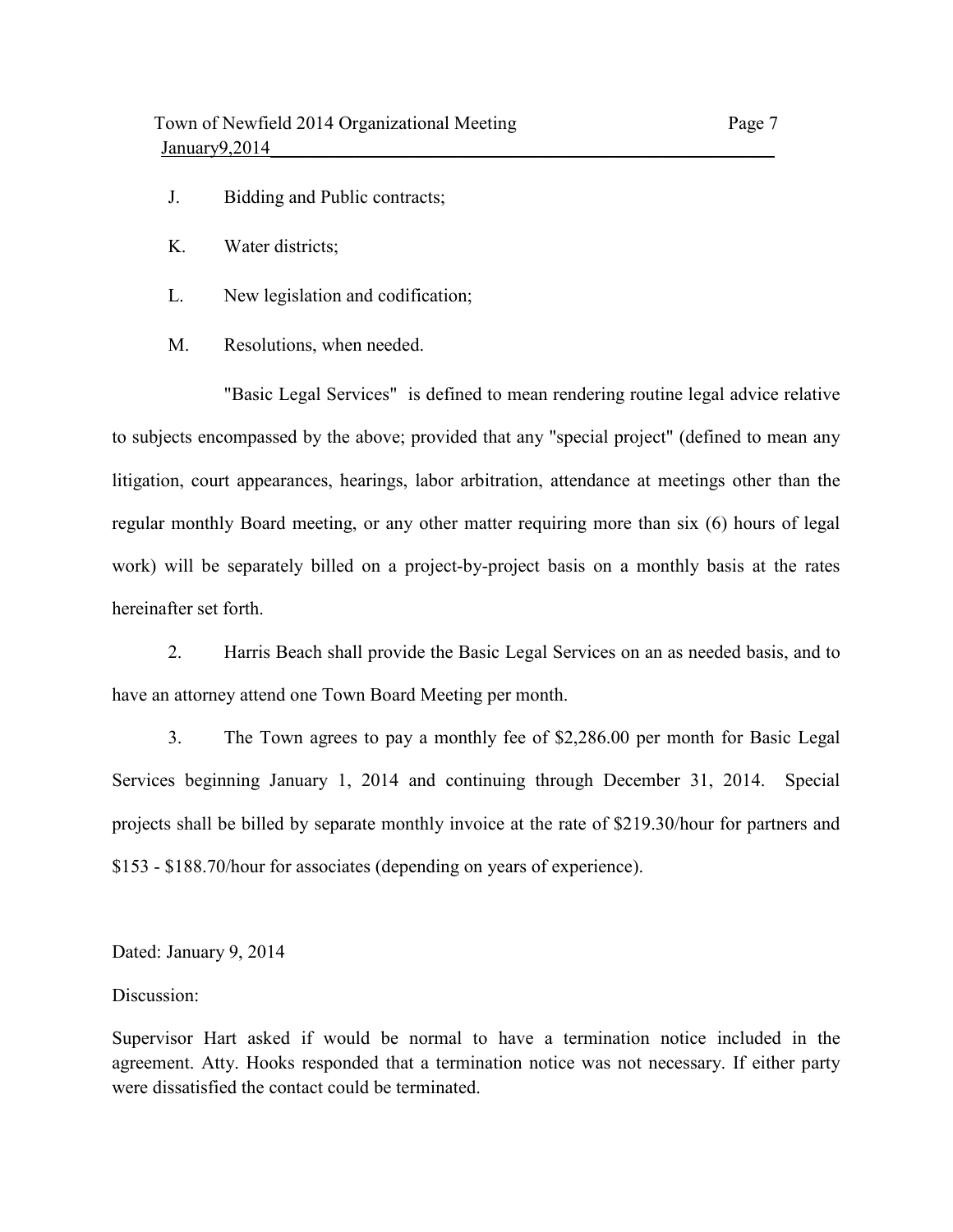- J. Bidding and Public contracts;
- K. Water districts;
- L. New legislation and codification;
- M. Resolutions, when needed.

"Basic Legal Services" is defined to mean rendering routine legal advice relative to subjects encompassed by the above; provided that any "special project" (defined to mean any litigation, court appearances, hearings, labor arbitration, attendance at meetings other than the regular monthly Board meeting, or any other matter requiring more than six (6) hours of legal work) will be separately billed on a project-by-project basis on a monthly basis at the rates hereinafter set forth.

2. Harris Beach shall provide the Basic Legal Services on an as needed basis, and to have an attorney attend one Town Board Meeting per month.

3. The Town agrees to pay a monthly fee of \$2,286.00 per month for Basic Legal Services beginning January 1, 2014 and continuing through December 31, 2014. Special projects shall be billed by separate monthly invoice at the rate of \$219.30/hour for partners and \$153 - \$188.70/hour for associates (depending on years of experience).

Dated: January 9, 2014

#### Discussion:

Supervisor Hart asked if would be normal to have a termination notice included in the agreement. Atty. Hooks responded that a termination notice was not necessary. If either party were dissatisfied the contact could be terminated.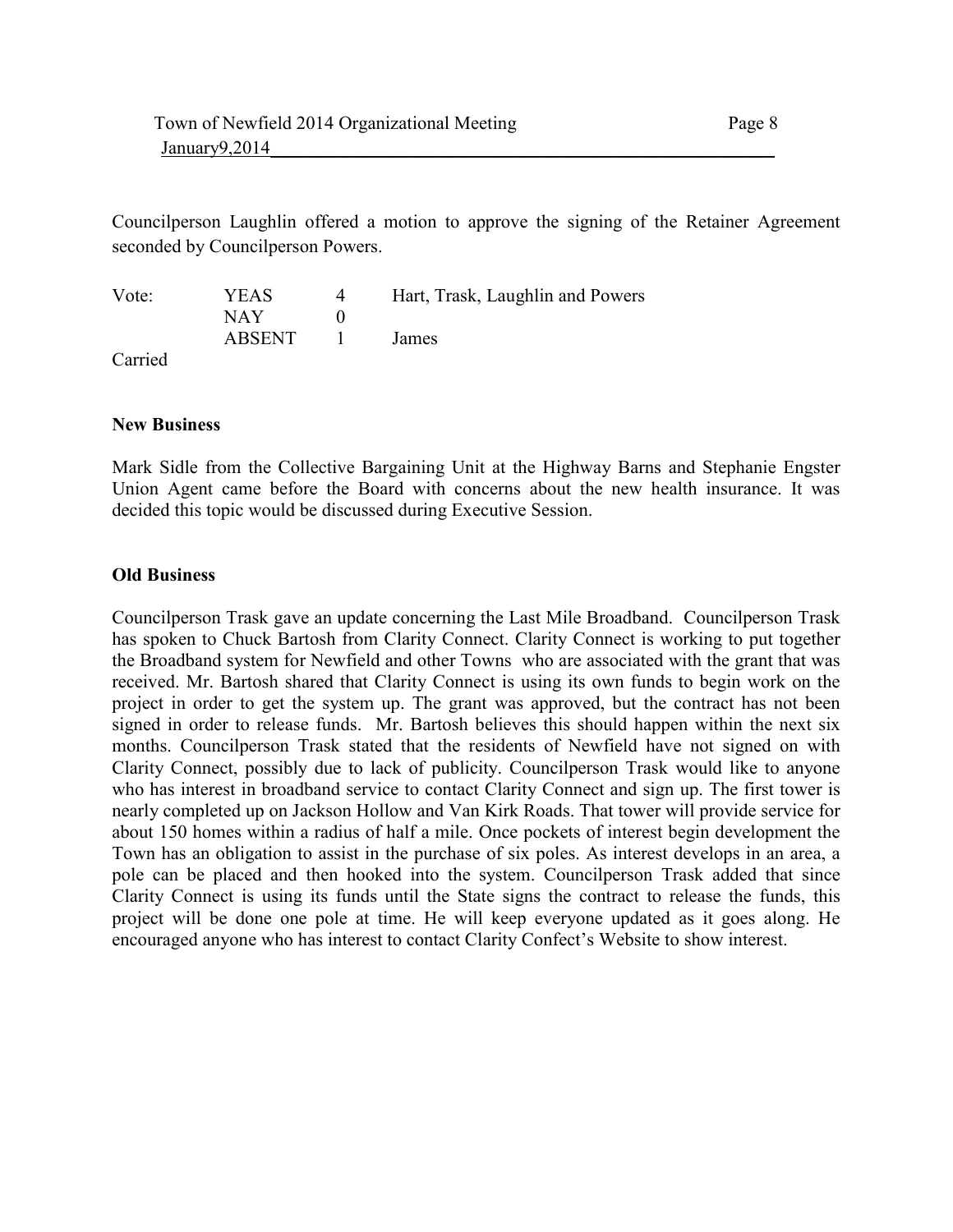Councilperson Laughlin offered a motion to approve the signing of the Retainer Agreement seconded by Councilperson Powers.

| Vote:           | YEAS   |              | Hart, Trask, Laughlin and Powers |
|-----------------|--------|--------------|----------------------------------|
|                 | NAY.   |              |                                  |
|                 | ABSENT | $\mathbf{1}$ | <b>James</b>                     |
| $\sim$ $\sim$ 1 |        |              |                                  |

Carried

### **New Business**

Mark Sidle from the Collective Bargaining Unit at the Highway Barns and Stephanie Engster Union Agent came before the Board with concerns about the new health insurance. It was decided this topic would be discussed during Executive Session.

### **Old Business**

Councilperson Trask gave an update concerning the Last Mile Broadband. Councilperson Trask has spoken to Chuck Bartosh from Clarity Connect. Clarity Connect is working to put together the Broadband system for Newfield and other Towns who are associated with the grant that was received. Mr. Bartosh shared that Clarity Connect is using its own funds to begin work on the project in order to get the system up. The grant was approved, but the contract has not been signed in order to release funds. Mr. Bartosh believes this should happen within the next six months. Councilperson Trask stated that the residents of Newfield have not signed on with Clarity Connect, possibly due to lack of publicity. Councilperson Trask would like to anyone who has interest in broadband service to contact Clarity Connect and sign up. The first tower is nearly completed up on Jackson Hollow and Van Kirk Roads. That tower will provide service for about 150 homes within a radius of half a mile. Once pockets of interest begin development the Town has an obligation to assist in the purchase of six poles. As interest develops in an area, a pole can be placed and then hooked into the system. Councilperson Trask added that since Clarity Connect is using its funds until the State signs the contract to release the funds, this project will be done one pole at time. He will keep everyone updated as it goes along. He encouraged anyone who has interest to contact Clarity Confect's Website to show interest.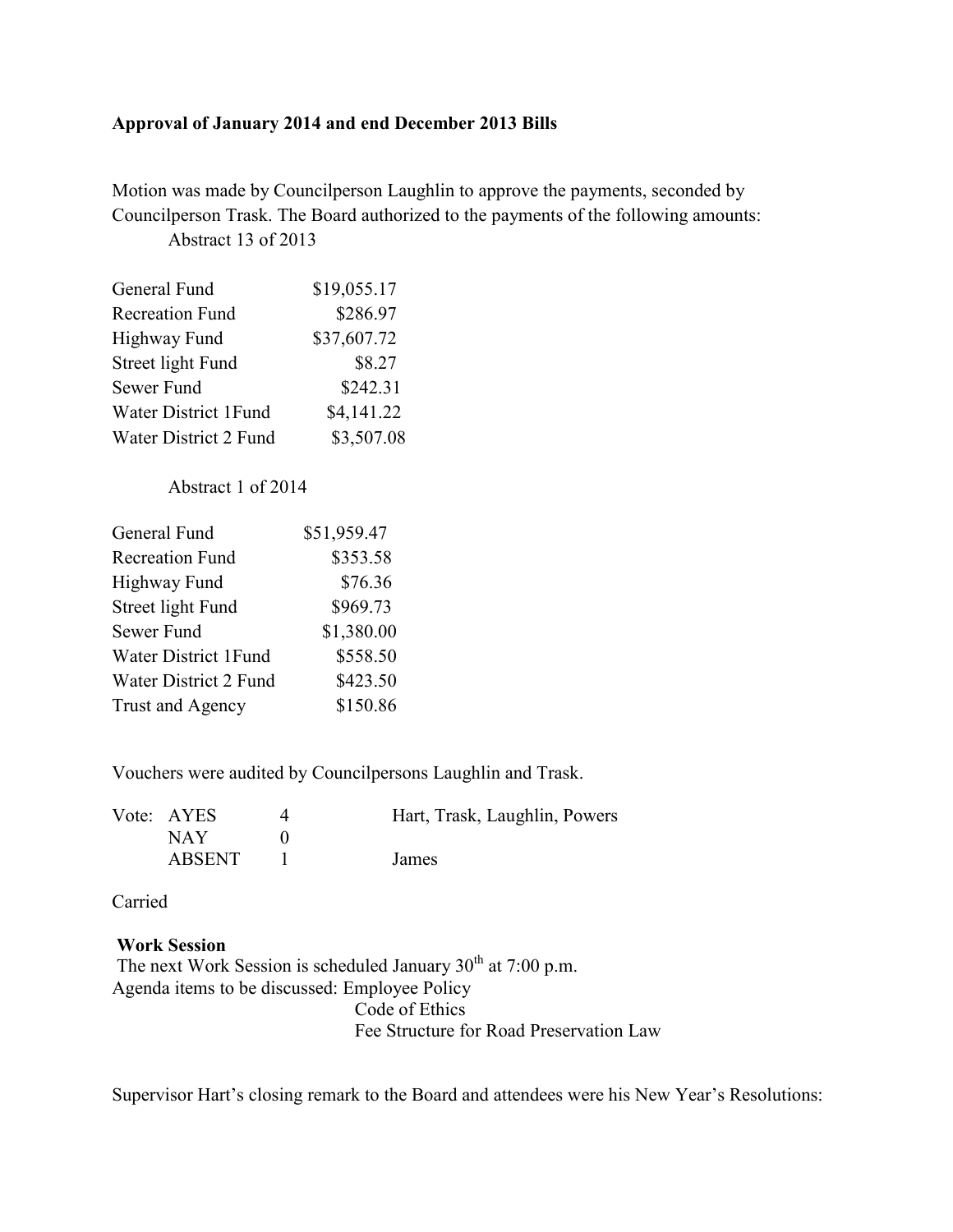### **Approval of January 2014 and end December 2013 Bills**

Motion was made by Councilperson Laughlin to approve the payments, seconded by Councilperson Trask. The Board authorized to the payments of the following amounts: Abstract 13 of 2013

| General Fund           | \$19,055.17 |
|------------------------|-------------|
| <b>Recreation Fund</b> | \$286.97    |
| <b>Highway Fund</b>    | \$37,607.72 |
| Street light Fund      | \$8.27      |
| Sewer Fund             | \$242.31    |
| Water District 1Fund   | \$4,141.22  |
| Water District 2 Fund  | \$3,507.08  |

## Abstract 1 of 2014

| General Fund           | \$51,959.47 |
|------------------------|-------------|
| <b>Recreation Fund</b> | \$353.58    |
| <b>Highway Fund</b>    | \$76.36     |
| Street light Fund      | \$969.73    |
| Sewer Fund             | \$1,380.00  |
| Water District 1Fund   | \$558.50    |
| Water District 2 Fund  | \$423.50    |
| Trust and Agency       | \$150.86    |

Vouchers were audited by Councilpersons Laughlin and Trask.

| Vote: AYES    | Hart, Trask, Laughlin, Powers |
|---------------|-------------------------------|
| NAY.          |                               |
| <b>ABSENT</b> | James                         |

Carried

## **Work Session**

The next Work Session is scheduled January  $30<sup>th</sup>$  at 7:00 p.m. Agenda items to be discussed: Employee Policy Code of Ethics Fee Structure for Road Preservation Law

Supervisor Hart's closing remark to the Board and attendees were his New Year's Resolutions: